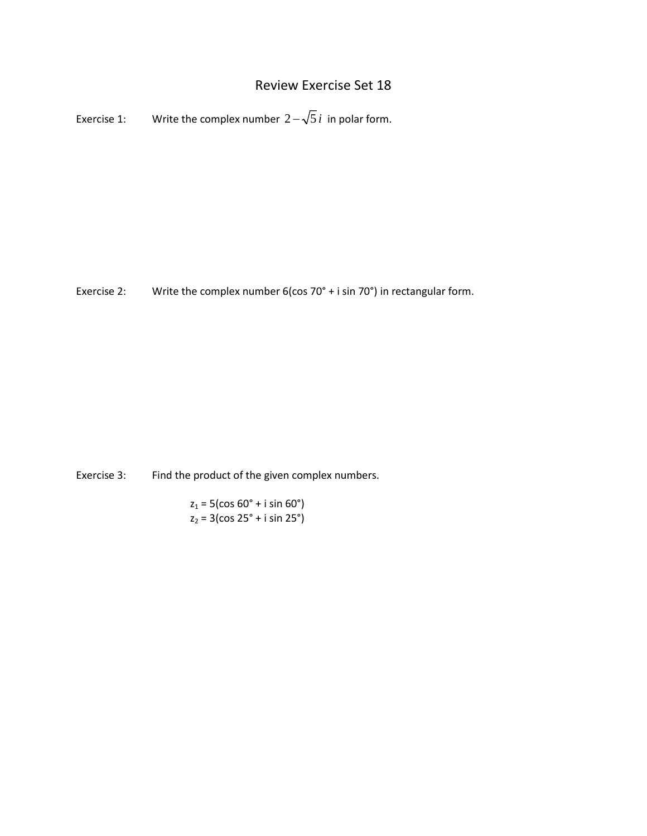## Review Exercise Set 18

Exercise 1: Write the complex number  $2 - \sqrt{5} i$  in polar form.

Exercise 2: Write the complex number 6(cos 70° + i sin 70°) in rectangular form.

Exercise 3: Find the product of the given complex numbers.

 $z_1 = 5$ (cos 60° + i sin 60°)  $z_2 = 3(cos 25^\circ + i sin 25^\circ)$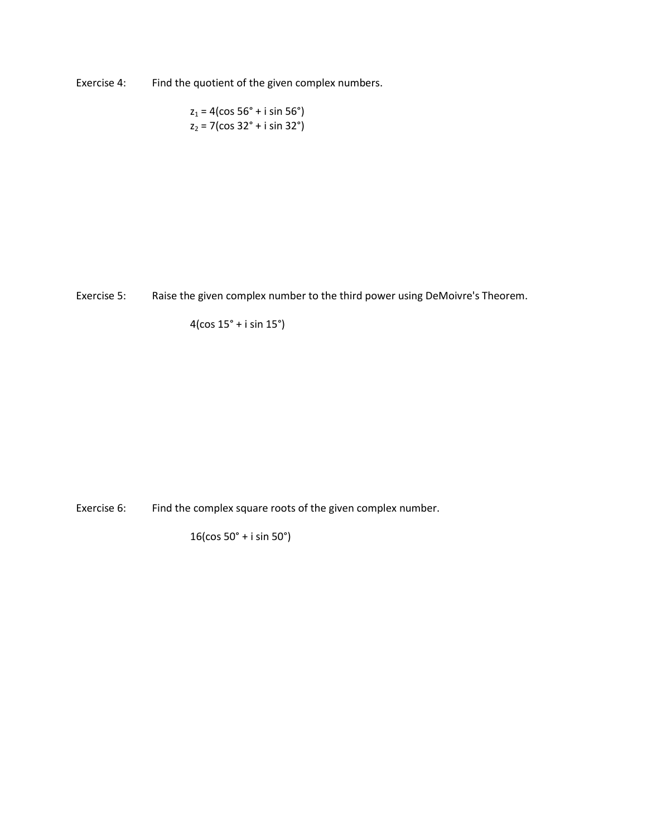Exercise 4: Find the quotient of the given complex numbers.

 $z_1 = 4(\cos 56^\circ + i \sin 56^\circ)$  $z_2 = 7$ (cos 32° + i sin 32°)

Exercise 5: Raise the given complex number to the third power using DeMoivre's Theorem.

4(cos 15° + i sin 15°)

Exercise 6: Find the complex square roots of the given complex number.

16(cos 50° + i sin 50°)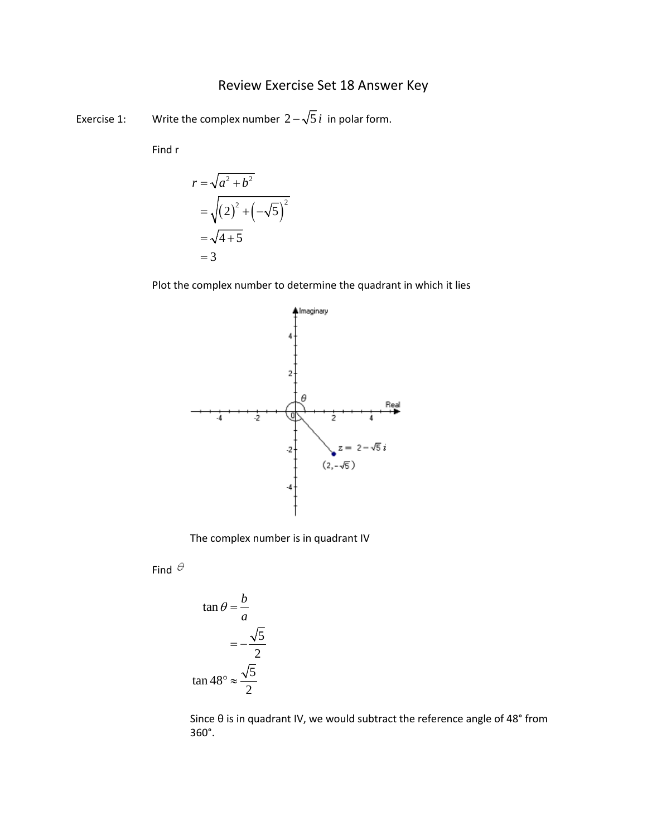## Review Exercise Set 18 Answer Key

Exercise 1: Write the complex number  $2 - \sqrt{5} i$  in polar form.

Find r

$$
r = \sqrt{a^2 + b^2}
$$
  
=  $\sqrt{(2)^2 + (-\sqrt{5})^2}$   
=  $\sqrt{4 + 5}$   
= 3

Plot the complex number to determine the quadrant in which it lies



The complex number is in quadrant IV

Find  $\theta$ 

$$
\tan \theta = \frac{b}{a}
$$

$$
= -\frac{\sqrt{5}}{2}
$$

$$
\tan 48^\circ \approx \frac{\sqrt{5}}{2}
$$

Since θ is in quadrant IV, we would subtract the reference angle of 48° from 360°.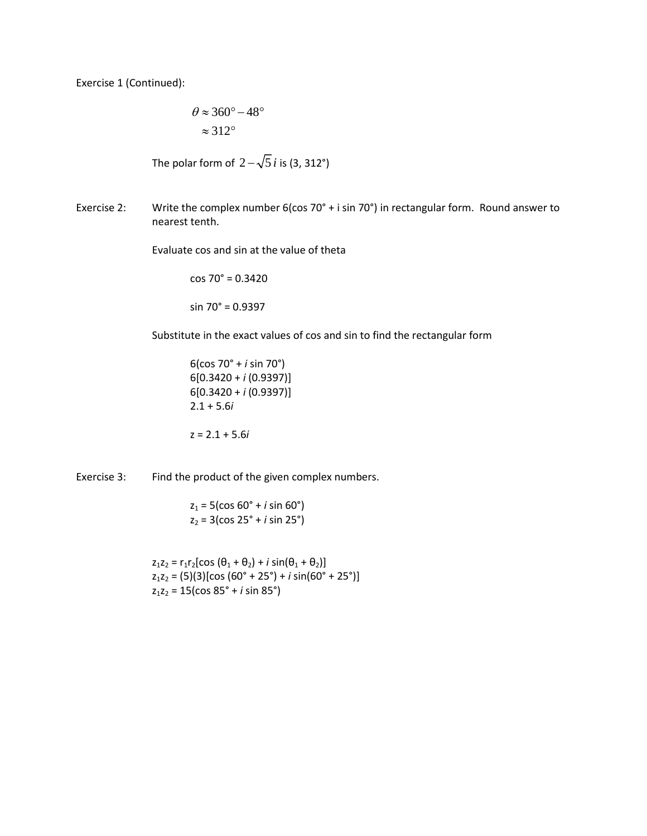Exercise 1 (Continued):

$$
\theta \approx 360^\circ - 48^\circ
$$

$$
\approx 312^\circ
$$

The polar form of  $2 - \sqrt{5} i$  is (3, 312°)

Exercise 2: Write the complex number 6(cos 70° + i sin 70°) in rectangular form. Round answer to nearest tenth.

Evaluate cos and sin at the value of theta

cos 70° = 0.3420 sin 70° = 0.9397

Substitute in the exact values of cos and sin to find the rectangular form

6(cos 70° + *i* sin 70°) 6[0.3420 + *i* (0.9397)] 6[0.3420 + *i* (0.9397)] 2.1 + 5.6*i*

z = 2.1 + 5.6*i*

Exercise 3: Find the product of the given complex numbers.

 $z_1 = 5$ (cos 60<sup>°</sup> + *i* sin 60<sup>°</sup>)  $z_2 = 3(cos 25^\circ + i sin 25^\circ)$ 

 $z_1z_2 = r_1r_2[\cos(\theta_1 + \theta_2) + i\sin(\theta_1 + \theta_2)]$ z1z2 = (5)(3)[cos (60° + 25°) + *i* sin(60° + 25°)] z1z2 = 15(cos 85° + *i* sin 85°)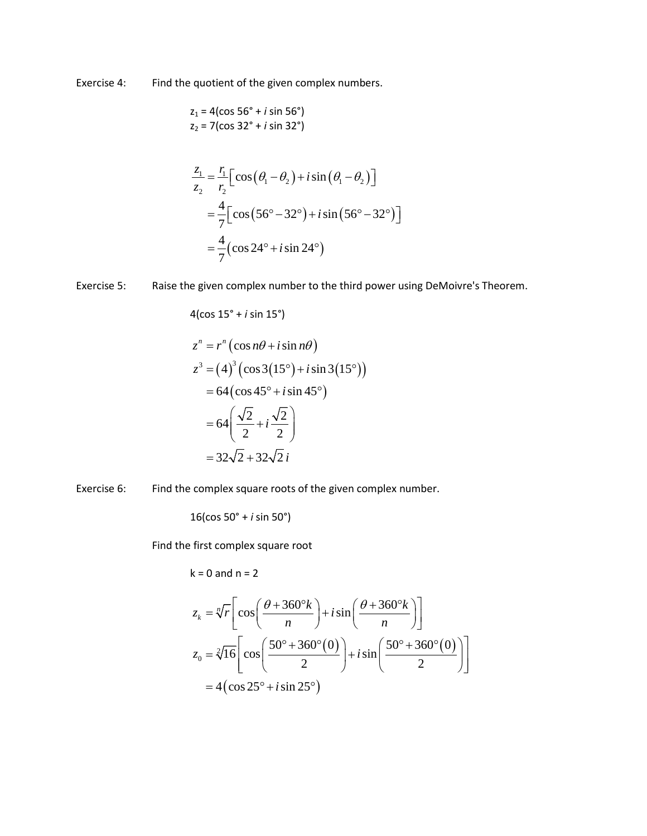Exercise 4: Find the quotient of the given complex numbers.

$$
z_1 = 4(\cos 56^\circ + i \sin 56^\circ)
$$
  

$$
z_2 = 7(\cos 32^\circ + i \sin 32^\circ)
$$

$$
\frac{z_1}{z_2} = \frac{r_1}{r_2} \left[ \cos \left( \theta_1 - \theta_2 \right) + i \sin \left( \theta_1 - \theta_2 \right) \right]
$$

$$
= \frac{4}{7} \left[ \cos \left( 56^\circ - 32^\circ \right) + i \sin \left( 56^\circ - 32^\circ \right) \right]
$$

$$
= \frac{4}{7} \left( \cos 24^\circ + i \sin 24^\circ \right)
$$

Exercise 5: Raise the given complex number to the third power using DeMoivre's Theorem.

$$
4(\cos 15^\circ + i \sin 15^\circ)
$$
  
\n
$$
z^n = r^n (\cos n\theta + i \sin n\theta)
$$
  
\n
$$
z^3 = (4)^3 (\cos 3(15^\circ) + i \sin 3(15^\circ))
$$
  
\n
$$
= 64 (\cos 45^\circ + i \sin 45^\circ)
$$
  
\n
$$
= 64 \left( \frac{\sqrt{2}}{2} + i \frac{\sqrt{2}}{2} \right)
$$
  
\n
$$
= 32\sqrt{2} + 32\sqrt{2} i
$$

Exercise 6: Find the complex square roots of the given complex number.

16(cos 50° + *i* sin 50°)

Find the first complex square root

$$
k = 0 \text{ and } n = 2
$$

$$
z_k = \sqrt[n]{r} \left[ \cos\left(\frac{\theta + 360^\circ k}{n}\right) + i \sin\left(\frac{\theta + 360^\circ k}{n}\right) \right]
$$
  

$$
z_0 = \sqrt[2]{16} \left[ \cos\left(\frac{50^\circ + 360^\circ (0)}{2}\right) + i \sin\left(\frac{50^\circ + 360^\circ (0)}{2}\right) \right]
$$
  

$$
= 4 \left( \cos 25^\circ + i \sin 25^\circ \right)
$$